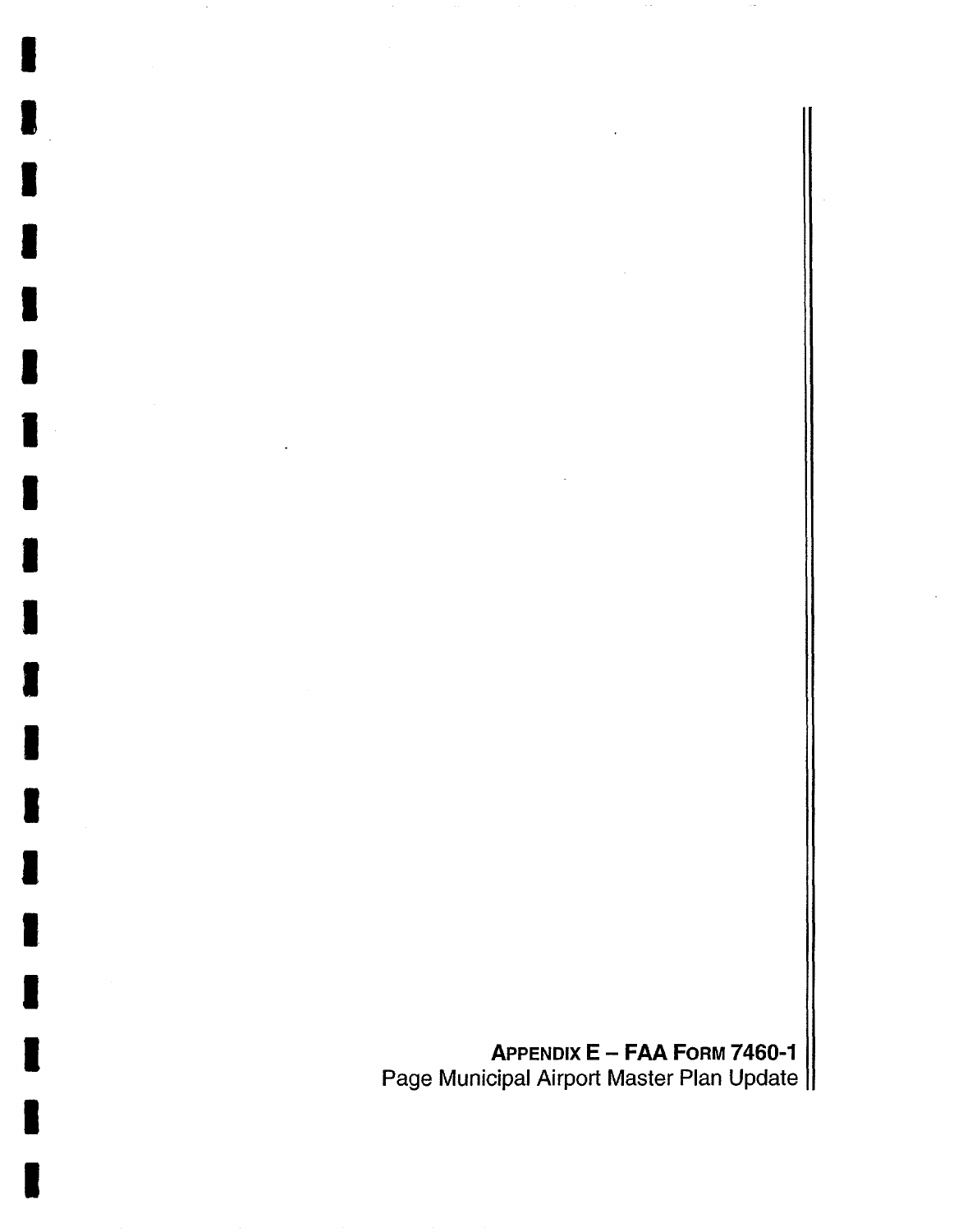**APPENDIX E - FAA FORM 7460-1**  Page Municipal Airport Master Plan Update

I

I

I

I

I

I

I

I

I

I

I

I

I

I

I

I

I

I

I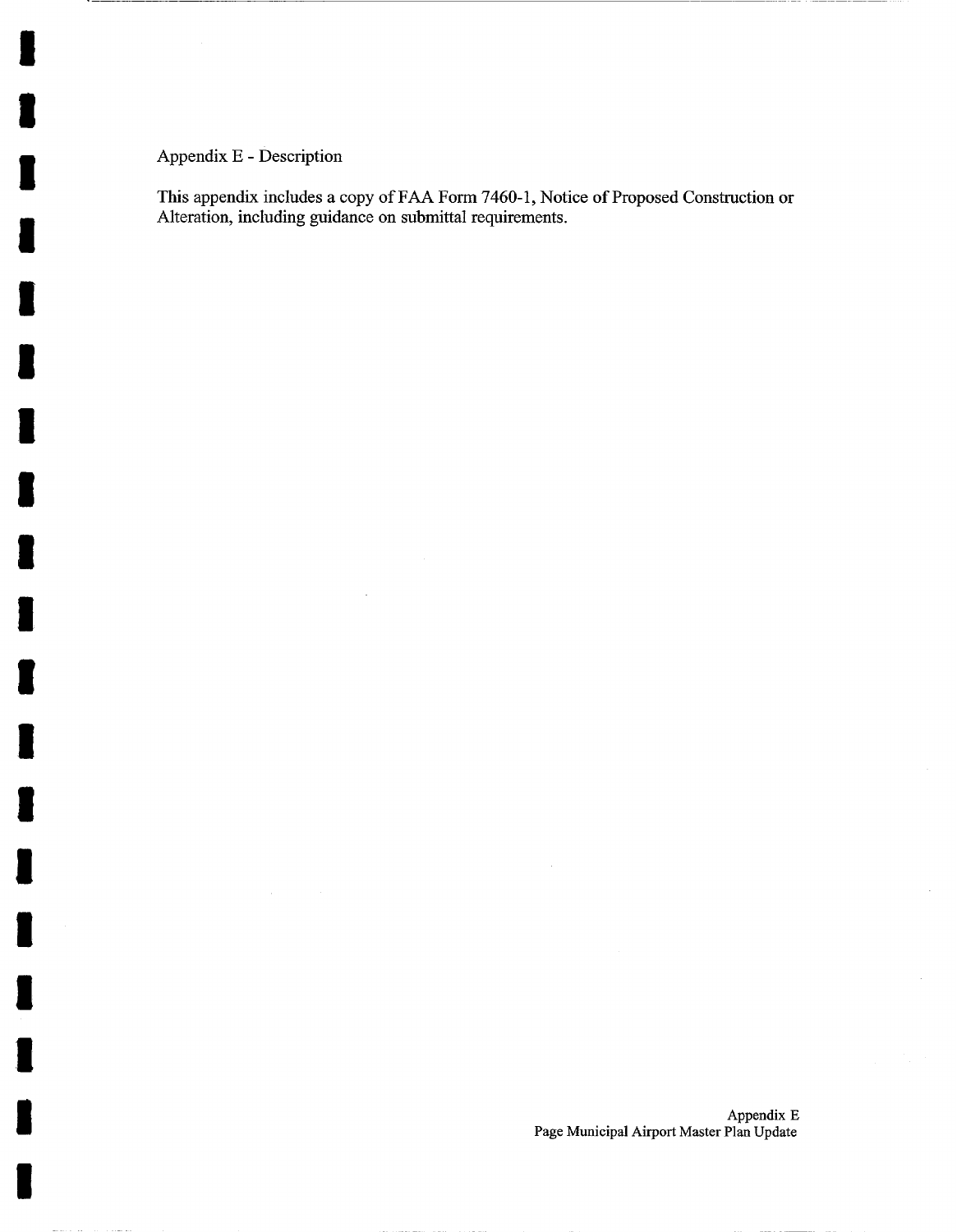Appendix E - Description

I

I

I

I

I

I

I

I

I

I

I

I

I

I

I

I

I

i

I

This appendix includes a copy of FAA Form 7460-1, Notice of Proposed Construction or Alteration, including guidance on submittal requirements.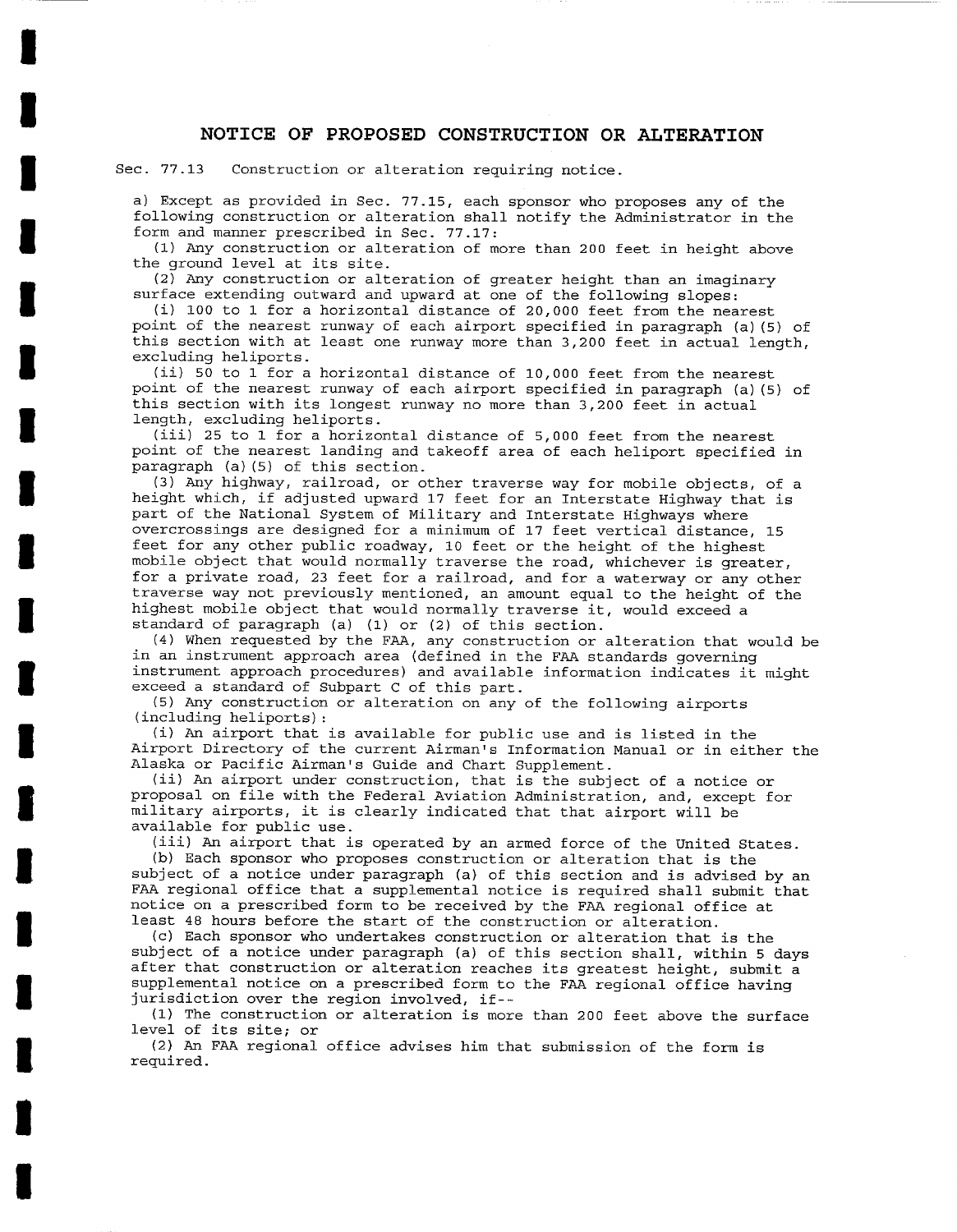### **NOTICE OF PROPOSED CONSTRUCTION OR ALTERATION**

Sec. 77.13 Construction or alteration requiring notice.

**I** 

**I** 

**I** 

**I** 

**I** 

**I** 

**I** 

**I** 

**I** 

**I** 

**I** 

**I** 

**I** 

**I** 

**I** 

**I** 

**I** 

**I** 

**I** 

a) Except as provided in Sec. 77.15, each sponsor who proposes any of the following construction or alteration shall notify the Administrator in the form and manner prescribed in Sec. 77.17:

(I) Any construction or alteration of more than 200 feet in height above the ground level at its site.

(2) Any construction or alteration of greater height than an imaginary surface extending outward and upward at one of the following slopes:

(i) I00 to 1 for a horizontal distance of 20,000 feet from the nearest point of the nearest runway of each airport specified in paragraph (a) (5) of this section with at least one runway more than 3,200 feet in actual length, excluding heliports.

(ii) 50 to 1 for a horizontal distance of i0,000 feet from the nearest point of the nearest runway of each airport specified in paragraph (a) (5) of this section with its longest runway no more than 3,200 feet in actual length, excluding heliports.

(iii) 25 to 1 for a horizontal distance of 5,000 feet from the nearest point of the nearest landing and takeoff area of each heliport specified in paragraph (a) (5) of this section.

(3) Any highway, railroad, or other traverse way for mobile objects, of a height which, if adjusted upward 17 feet for an Interstate Highway that is part of the National System of Military and Interstate Highways where overcrossings are designed for a minimum of 17 feet vertical distance, 15 feet for any other public roadway, I0 feet or the height of the highest mobile object that would normally traverse the road, whichever is greater, for a private road, 23 feet for a railroad, and for a waterway or any other traverse way not previously mentioned, an amount equal to the height of the highest mobile object that would normally traverse it, would exceed a standard of paragraph (a) (I) or (2) of this section.

(4) When requested by the FAA, any construction or alteration that would be in an instrument approach area (defined in the FAA standards governing instrument approach procedures) and available information indicates it might exceed a standard of Subpart C of this part.

(5) Any construction or alteration on any of the following airports (including heliports):

(i) An airport that is available for public use and is listed in the Airport Directory of the current Airman's Information Manual or in either the Alaska or Pacific Airman's Guide and Chart Supplement.

(ii) An airport under construction, that is the subject of a notice or proposal on file with the Federal Aviation Administration, and, except for military airports, it is clearly indicated that that airport will be available for public use.

(iii) An airport that is operated by an armed force of the United States. (b) Each sponsor who proposes construction or alteration that is the subject of a notice under paragraph (a) of this section and is advised by an FAA regional office that a supplemental notice is required shall submit that notice on a prescribed form to be received by the FAA regional office at least 48 hours before the start of the construction or alteration.

(c) Each sponsor who undertakes construction or alteration that is the subject of a notice under paragraph (a) of this section shall, within 5 days after that construction or alteration reaches its greatest height, submit a supplemental notice on a prescribed form to the FAA regional office having jurisdiction over the region involved, if--

(1) The construction or alteration is more than 200 feet above the surface level of its site; or

(2) An FAA regional office advises him that submission of the form is required.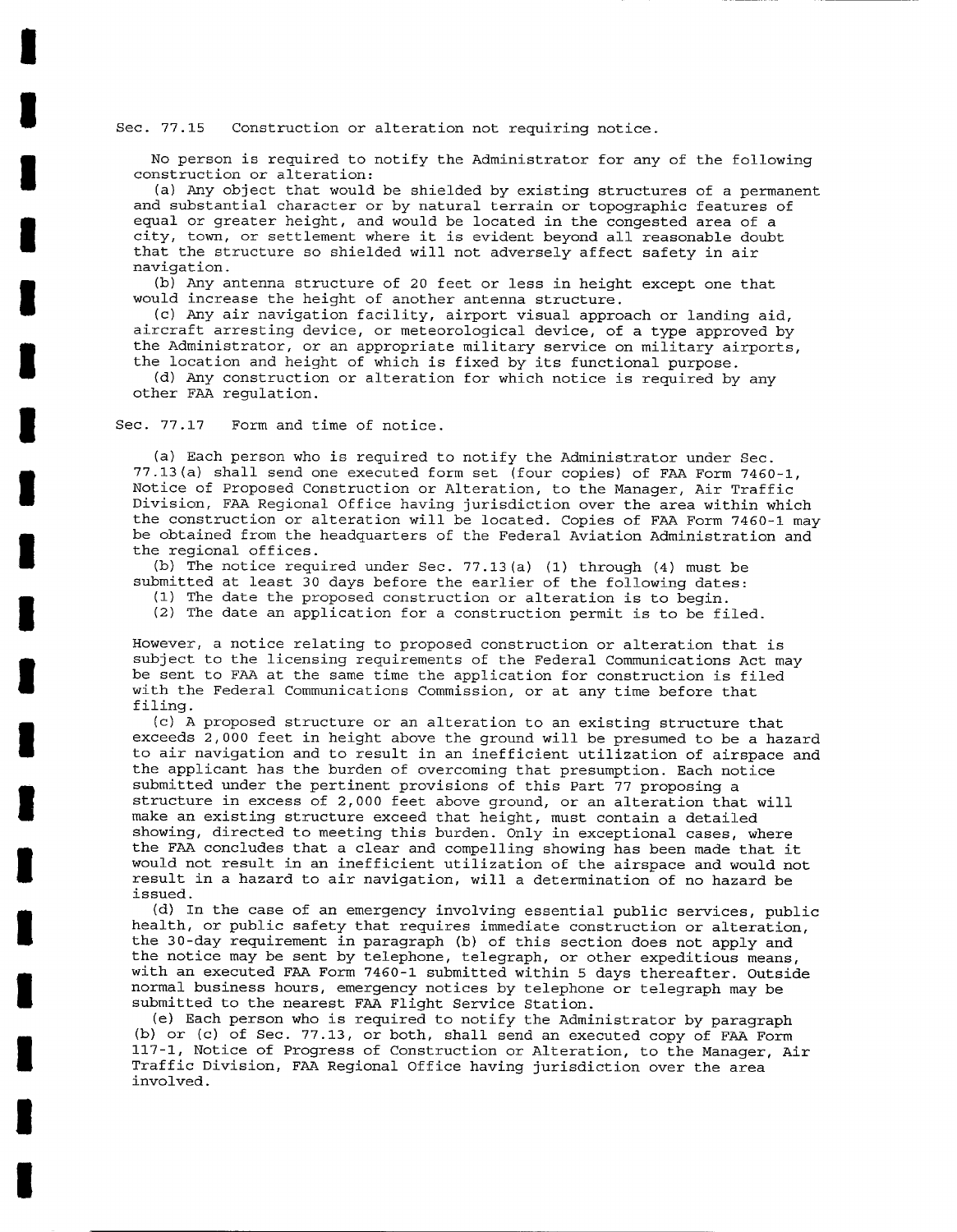#### Sec. 77.15 Construction or alteration not requiring notice.

No person is required to notify the Administrator for any of the following construction or alteration:

(a) Any object that would be shielded by existing structures of a permanent and substantial character or by natural terrain or topographic features of equal or greater height, and would be located in the congested area of a city, town, or settlement where it is evident beyond all reasonable doubt that the structure so shielded will not adversely affect safety in air navigation.

(b) Any antenna structure of 20 feet or less in height except one that would increase the height of another antenna structure.

(c) Any air navigation facility, airport visual approach or landing aid, aircraft arresting device, or meteorological device, of a type approved by the Administrator, or an appropriate military service on military airports, the location and height of which is fixed by its functional purpose.

(d) Any construction or alteration for which notice is required by any other FAA regulation.

Sec. 77.17 Form and time of notice.

**i** 

**I** 

**I** 

**I** 

**I** 

**I** 

**I** 

**I** 

**I** 

**I** 

**I** 

**I** 

**I** 

**I** 

**I** 

**I** 

**I** 

**I** 

**I** 

(a) Each person who is required to notify the Administrator under Sec. 77.13(a) shall send one executed form set (four copies) of FAA Form 7460-1, Notice of Proposed Construction or Alteration, to the Manager, Air Traffic Division, FAA Regional Office having jurisdiction over the area within which the construction or alteration will be located. Copies of FAA Form 7460-1 may be obtained from the headquarters of the Federal Aviation Administration and the regional offices.

(b) The notice required under Sec. 77.13(a) (I) through (4) must be submitted at least 30 days before the earlier of the following dates:

(I) The date the proposed construction or alteration is to begin.

(2) The date an application for a construction permit is to be filed.

However, a notice relating to proposed construction or alteration that is subject to the licensing requirements of the Federal Communications Act may be sent to FAA at the same time the *application* for construction is filed with the Federal Communications Commission, or at any time before that filing.

(c) A proposed structure or an alteration to an existing structure that exceeds 2,000 feet in height above the ground will be presumed to be a hazard to air navigation and to result in an inefficient utilization of airspace and the applicant has the burden of overcoming that presumption. Each notice submitted under the pertinent provisions of this Part 77 proposing a structure in excess of 2,000 feet above ground, or an alteration that will make an existing structure exceed that height, must contain a detailed showing, directed to meeting this burden. Only in exceptional cases, where the FAA concludes that a clear and compelling showing has been made that it would not result in an inefficient utilization of the airspace and would not result in a hazard to air navigation, will a determination of no hazard be issued.

(d) In the case of an emergency involving essential public services, public health, or public safety that requires immediate construction or alteration, the 30-day requirement in paragraph (b) of this section does not apply and the notice may be sent by telephone, telegraph, or other expeditious means, with an executed FAA Form 7460-1 submitted within 5 days thereafter. Outside normal business hours, emergency notices by telephone or telegraph may be submitted to the nearest FAA Flight Service Station.

(e) Each person who is required to notify the Administrator by paragraph (b) or (c) of Sec. 77.13, or both, shall send an executed copy of FAA Form 117-1, Notice of Progress of Construction or Alteration, to the Manager, Air Traffic Division, FAA Regional Office having jurisdiction over the area involved.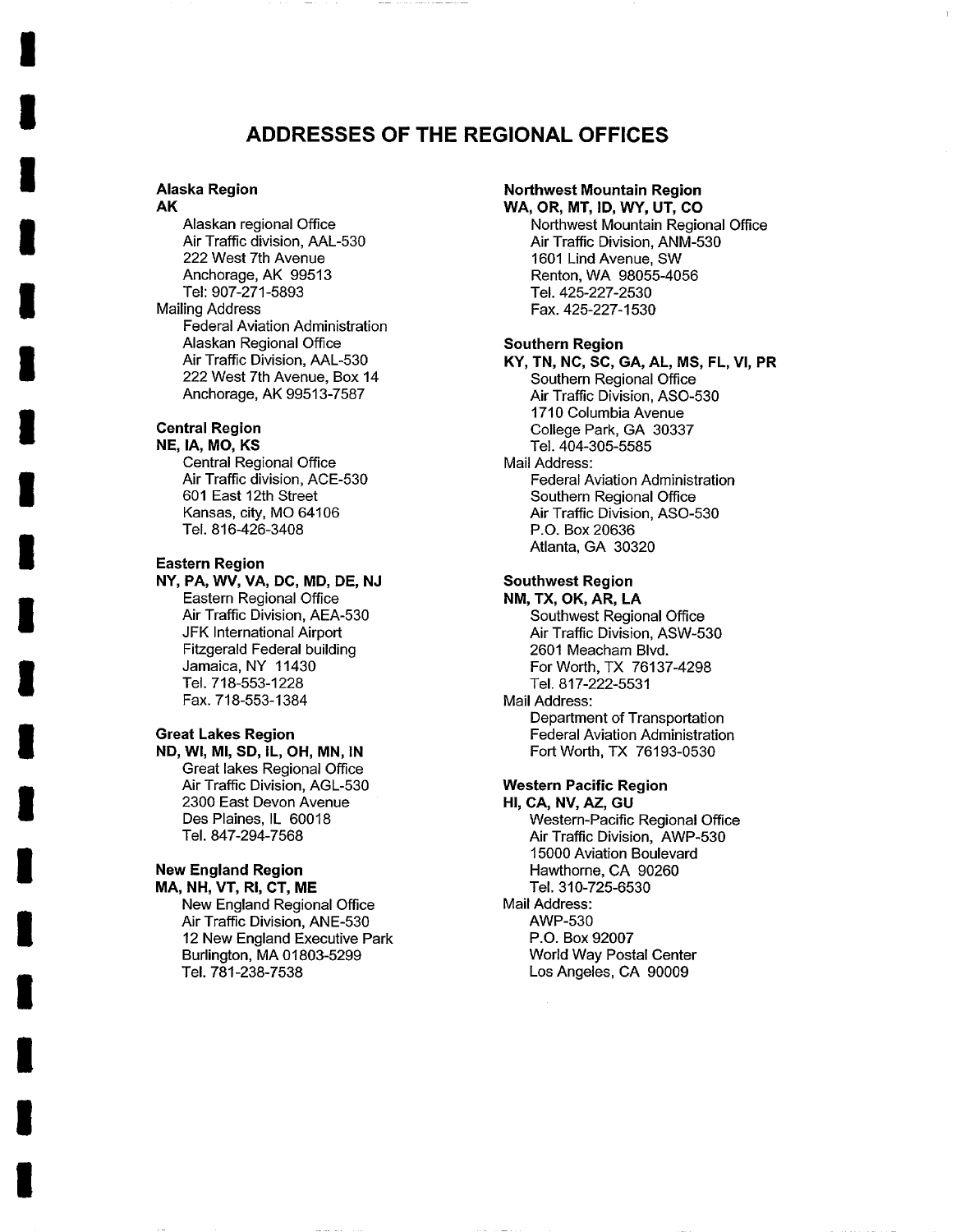# **ADDRESSES OF THE REGIONAL OFFICES**

#### **Alaska Region AK**

**I** 

**I** 

**I** 

**I** 

**I** 

**I** 

**I** 

**I** 

**I** 

**I** 

**I** 

**I** 

**I** 

**I** 

**I** 

**I** 

**I** 

**I** 

**I** 

Alaskan regional Office Air Traffic division, AAL-530 222 West 7th Avenue Anchorage, AK 99513 Tel: 907-271-5893 Mailing Address Federal Aviation Administration Alaskan Regional Office Air Traffic Division, AAL-530 222 West 7th Avenue, Box 14 Anchorage, AK 99513-7587

# **Central Region**

**NE, IA, MO, KS**  Central Regional Office Air Traffic division, ACE-530 601 East 12th Street Kansas, city, MO 64106 Tel. 816-426-3408

### **Eastern Region**

NY, PA, WV, VA, DC, **MD, DE,** NJ Eastern Regional Office Air Traffic Division, AEA-530 JFK International Airport Fitzgerald Federal building Jamaica, NY 11430 Tel. 718-553-1228 Fax. 718-553-1384

#### **Great Lakes Region**

**ND, Wl, MI, SD, IL, OH, MN, IN**  Great lakes Regional Office Air Traffic Division, AGL-530 2300 East Devon Avenue Des Plaines, IL 60018 Tel. 847-294-7568

# **New England Region**

**MA, NH, VT, RI, CT, ME** 

New England Regional Office Air Traffic Division, ANE-530 12 New England Executive Park Burlington, MA 01803-5299 Tel. 781-238-7538

## **Northwest Mountain Region**

**WA, OR, MT, ID, WY, UT, CO**  Northwest Mountain Regional Office Air Traffic Division, ANM-530 1601 Lind Avenue, SW Renton, WA 98055-4056 Tel. 425-227-2530 Fax. 425-227-1530

### **Southern Region**

KY, TN, NC, SC, **CA, AL, MS, FL, VI, PR**  Southern Regional Office Air Traffic Division, ASO-530 1710 Columbia Avenue College Park, GA 30337 Tel. 404-305-5585 Mail Address: Federal Aviation Administration Southern Regional Office Air Traffic Division, ASO-530 P.O. Box 20636 Atlanta, GA 30320

# **Southwest Region**

**NM, TX, OK, AR, LA**  Southwest Regional Office Air Traffic Division, ASW-530 2601 Meacham Blvd. For Worth, TX 76137-4298 Tel. 817-222-5531 Mail Address:

Department of Transportation Federal Aviation Administration Fort Worth, TX 76193-0530

# **Western Pacific Region**

**HI, CA, NV, AZ, GU**  Western-Pacific Regional Office Air Traffic Division, AWP-530 15000 Aviation Boulevard Hawthorne, CA 90260 Tel. 310-725-6530 Mail Address: AWP-530 P.O. Box 92007 World Way Postal Center Los Angeles, CA 90009